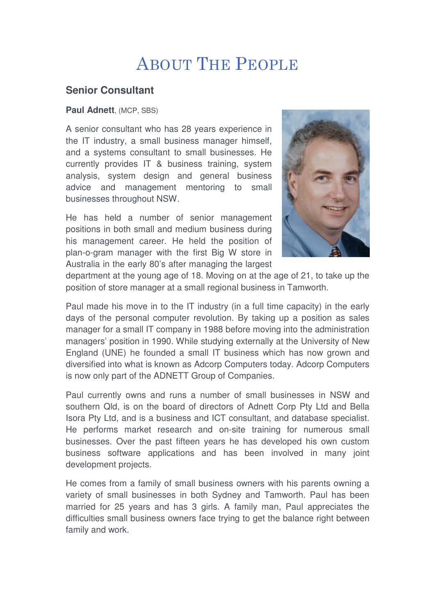## ABOUT THE PEOPLE

## **Senior Consultant**

## **Paul Adnett**, (MCP, SBS)

A senior consultant who has 28 years experience in the IT industry, a small business manager himself, and a systems consultant to small businesses. He currently provides IT & business training, system analysis, system design and general business advice and management mentoring to small businesses throughout NSW.

He has held a number of senior management positions in both small and medium business during his management career. He held the position of plan-o-gram manager with the first Big W store in Australia in the early 80's after managing the largest



department at the young age of 18. Moving on at the age of 21, to take up the position of store manager at a small regional business in Tamworth.

Paul made his move in to the IT industry (in a full time capacity) in the early days of the personal computer revolution. By taking up a position as sales manager for a small IT company in 1988 before moving into the administration managers' position in 1990. While studying externally at the University of New England (UNE) he founded a small IT business which has now grown and diversified into what is known as Adcorp Computers today. Adcorp Computers is now only part of the ADNETT Group of Companies.

Paul currently owns and runs a number of small businesses in NSW and southern Qld, is on the board of directors of Adnett Corp Pty Ltd and Bella Isora Pty Ltd, and is a business and ICT consultant, and database specialist. He performs market research and on-site training for numerous small businesses. Over the past fifteen years he has developed his own custom business software applications and has been involved in many joint development projects.

He comes from a family of small business owners with his parents owning a variety of small businesses in both Sydney and Tamworth. Paul has been married for 25 years and has 3 girls. A family man, Paul appreciates the difficulties small business owners face trying to get the balance right between family and work.